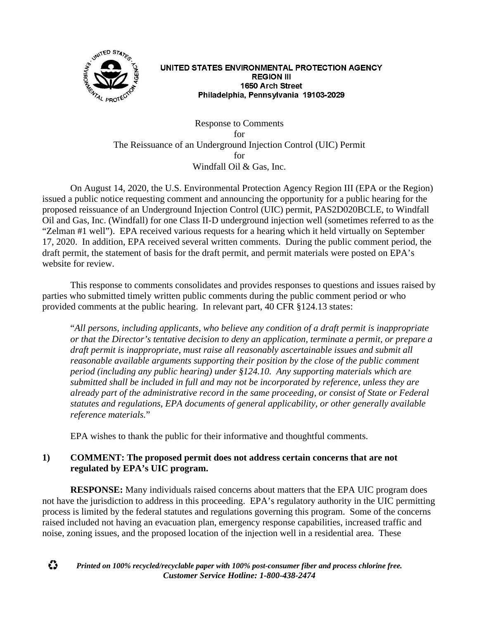

#### UNITED STATES ENVIRONMENTAL PROTECTION AGENCY **REGION III** 1650 Arch Street Philadelphia, Pennsylvania 19103-2029

Response to Comments for The Reissuance of an Underground Injection Control (UIC) Permit for Windfall Oil & Gas, Inc.

On August 14, 2020, the U.S. Environmental Protection Agency Region III (EPA or the Region) issued a public notice requesting comment and announcing the opportunity for a public hearing for the proposed reissuance of an Underground Injection Control (UIC) permit, PAS2D020BCLE, to Windfall Oil and Gas, Inc. (Windfall) for one Class II-D underground injection well (sometimes referred to as the "Zelman #1 well"). EPA received various requests for a hearing which it held virtually on September 17, 2020. In addition, EPA received several written comments. During the public comment period, the draft permit, the statement of basis for the draft permit, and permit materials were posted on EPA's website for review.

This response to comments consolidates and provides responses to questions and issues raised by parties who submitted timely written public comments during the public comment period or who provided comments at the public hearing. In relevant part, 40 CFR §124.13 states:

"*All persons, including applicants, who believe any condition of a draft permit is inappropriate or that the Director's tentative decision to deny an application, terminate a permit, or prepare a draft permit is inappropriate, must raise all reasonably ascertainable issues and submit all reasonable available arguments supporting their position by the close of the public comment period (including any public hearing) under §124.10. Any supporting materials which are submitted shall be included in full and may not be incorporated by reference, unless they are already part of the administrative record in the same proceeding, or consist of State or Federal statutes and regulations, EPA documents of general applicability, or other generally available reference materials.*"

EPA wishes to thank the public for their informative and thoughtful comments.

# **1) COMMENT: The proposed permit does not address certain concerns that are not regulated by EPA's UIC program.**

**RESPONSE:** Many individuals raised concerns about matters that the EPA UIC program does not have the jurisdiction to address in this proceeding. EPA's regulatory authority in the UIC permitting process is limited by the federal statutes and regulations governing this program. Some of the concerns raised included not having an evacuation plan, emergency response capabilities, increased traffic and noise, zoning issues, and the proposed location of the injection well in a residential area. These



*Printed on 100% recycled/recyclable paper with 100% post-consumer fiber and process chlorine free. Customer Service Hotline: 1-800-438-2474*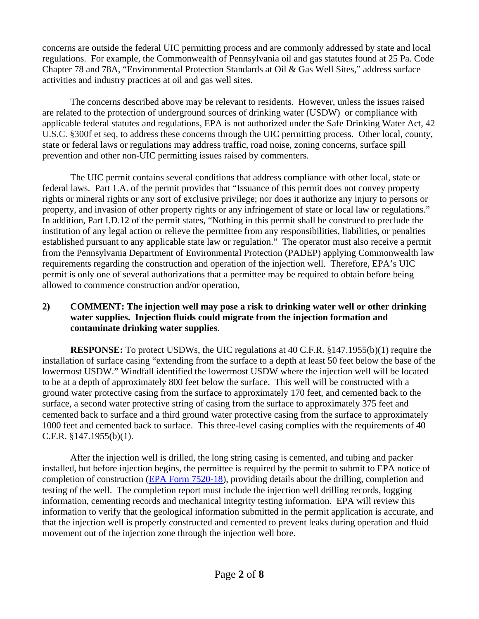concerns are outside the federal UIC permitting process and are commonly addressed by state and local regulations. For example, the Commonwealth of Pennsylvania oil and gas statutes found at 25 Pa. Code Chapter 78 and 78A, "Environmental Protection Standards at Oil & Gas Well Sites," address surface activities and industry practices at oil and gas well sites.

The concerns described above may be relevant to residents. However, unless the issues raised are related to the protection of underground sources of drinking water (USDW) or compliance with applicable federal statutes and regulations, EPA is not authorized under the Safe Drinking Water Act, 42 U.S.C. §300f et seq, to address these concerns through the UIC permitting process. Other local, county, state or federal laws or regulations may address traffic, road noise, zoning concerns, surface spill prevention and other non-UIC permitting issues raised by commenters.

The UIC permit contains several conditions that address compliance with other local, state or federal laws. Part 1.A. of the permit provides that "Issuance of this permit does not convey property rights or mineral rights or any sort of exclusive privilege; nor does it authorize any injury to persons or property, and invasion of other property rights or any infringement of state or local law or regulations." In addition, Part I.D.12 of the permit states, "Nothing in this permit shall be construed to preclude the institution of any legal action or relieve the permittee from any responsibilities, liabilities, or penalties established pursuant to any applicable state law or regulation." The operator must also receive a permit from the Pennsylvania Department of Environmental Protection (PADEP) applying Commonwealth law requirements regarding the construction and operation of the injection well. Therefore, EPA's UIC permit is only one of several authorizations that a permittee may be required to obtain before being allowed to commence construction and/or operation,

#### **2) COMMENT: The injection well may pose a risk to drinking water well or other drinking water supplies. Injection fluids could migrate from the injection formation and contaminate drinking water supplies**.

**RESPONSE:** To protect USDWs, the UIC regulations at 40 C.F.R. §147.1955(b)(1) require the installation of surface casing "extending from the surface to a depth at least 50 feet below the base of the lowermost USDW." Windfall identified the lowermost USDW where the injection well will be located to be at a depth of approximately 800 feet below the surface. This well will be constructed with a ground water protective casing from the surface to approximately 170 feet, and cemented back to the surface, a second water protective string of casing from the surface to approximately 375 feet and cemented back to surface and a third ground water protective casing from the surface to approximately 1000 feet and cemented back to surface. This three-level casing complies with the requirements of 40 C.F.R. §147.1955(b)(1).

After the injection well is drilled, the long string casing is cemented, and tubing and packer installed, but before injection begins, the permittee is required by the permit to submit to EPA notice of completion of construction [\(EPA Form 7520-18\)](https://www.epa.gov/sites/production/files/2019-05/documents/owner_or_operator_completion_report_for_injection_wells_epa_form_7520_18.pdf), providing details about the drilling, completion and testing of the well. The completion report must include the injection well drilling records, logging information, cementing records and mechanical integrity testing information. EPA will review this information to verify that the geological information submitted in the permit application is accurate, and that the injection well is properly constructed and cemented to prevent leaks during operation and fluid movement out of the injection zone through the injection well bore.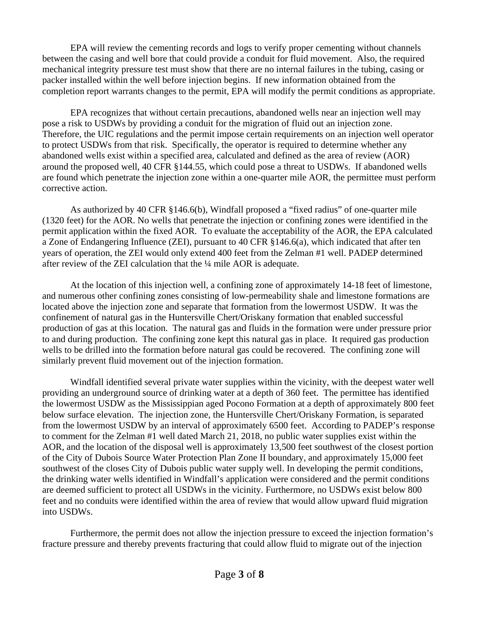EPA will review the cementing records and logs to verify proper cementing without channels between the casing and well bore that could provide a conduit for fluid movement. Also, the required mechanical integrity pressure test must show that there are no internal failures in the tubing, casing or packer installed within the well before injection begins. If new information obtained from the completion report warrants changes to the permit, EPA will modify the permit conditions as appropriate.

EPA recognizes that without certain precautions, abandoned wells near an injection well may pose a risk to USDWs by providing a conduit for the migration of fluid out an injection zone. Therefore, the UIC regulations and the permit impose certain requirements on an injection well operator to protect USDWs from that risk. Specifically, the operator is required to determine whether any abandoned wells exist within a specified area, calculated and defined as the area of review (AOR) around the proposed well, 40 CFR §144.55, which could pose a threat to USDWs. If abandoned wells are found which penetrate the injection zone within a one-quarter mile AOR, the permittee must perform corrective action.

As authorized by 40 CFR §146.6(b), Windfall proposed a "fixed radius" of one-quarter mile (1320 feet) for the AOR. No wells that penetrate the injection or confining zones were identified in the permit application within the fixed AOR. To evaluate the acceptability of the AOR, the EPA calculated a Zone of Endangering Influence (ZEI), pursuant to 40 CFR §146.6(a), which indicated that after ten years of operation, the ZEI would only extend 400 feet from the Zelman #1 well. PADEP determined after review of the ZEI calculation that the ¼ mile AOR is adequate.

At the location of this injection well, a confining zone of approximately 14-18 feet of limestone, and numerous other confining zones consisting of low-permeability shale and limestone formations are located above the injection zone and separate that formation from the lowermost USDW. It was the confinement of natural gas in the Huntersville Chert/Oriskany formation that enabled successful production of gas at this location. The natural gas and fluids in the formation were under pressure prior to and during production. The confining zone kept this natural gas in place. It required gas production wells to be drilled into the formation before natural gas could be recovered. The confining zone will similarly prevent fluid movement out of the injection formation.

Windfall identified several private water supplies within the vicinity, with the deepest water well providing an underground source of drinking water at a depth of 360 feet. The permittee has identified the lowermost USDW as the Mississippian aged Pocono Formation at a depth of approximately 800 feet below surface elevation. The injection zone, the Huntersville Chert/Oriskany Formation, is separated from the lowermost USDW by an interval of approximately 6500 feet. According to PADEP's response to comment for the Zelman #1 well dated March 21, 2018, no public water supplies exist within the AOR, and the location of the disposal well is approximately 13,500 feet southwest of the closest portion of the City of Dubois Source Water Protection Plan Zone II boundary, and approximately 15,000 feet southwest of the closes City of Dubois public water supply well. In developing the permit conditions, the drinking water wells identified in Windfall's application were considered and the permit conditions are deemed sufficient to protect all USDWs in the vicinity. Furthermore, no USDWs exist below 800 feet and no conduits were identified within the area of review that would allow upward fluid migration into USDWs.

Furthermore, the permit does not allow the injection pressure to exceed the injection formation's fracture pressure and thereby prevents fracturing that could allow fluid to migrate out of the injection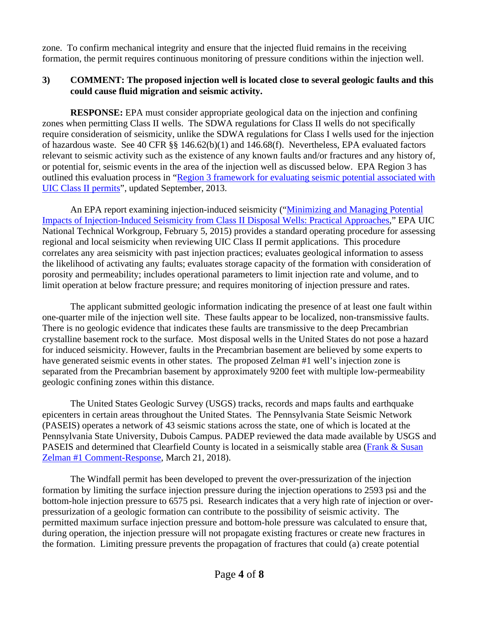zone. To confirm mechanical integrity and ensure that the injected fluid remains in the receiving formation, the permit requires continuous monitoring of pressure conditions within the injection well.

# **3) COMMENT: The proposed injection well is located close to several geologic faults and this could cause fluid migration and seismic activity.**

**RESPONSE:** EPA must consider appropriate geological data on the injection and confining zones when permitting Class II wells. The SDWA regulations for Class II wells do not specifically require consideration of seismicity, unlike the SDWA regulations for Class I wells used for the injection of hazardous waste. See 40 CFR §§ 146.62(b)(1) and 146.68(f). Nevertheless, EPA evaluated factors relevant to seismic activity such as the existence of any known faults and/or fractures and any history of, or potential for, seismic events in the area of the injection well as discussed below. EPA Region 3 has outlined this evaluation process in ["Region 3 framework for evaluating seismic potential associated with](https://yosemite.epa.gov/oa/eab_web_docket.nsf/Attachments%20By%20ParentFilingId/0EA8C0D9BA82F48B85257CD9006624C2/$FILE/Tab%20I%20seismicity%20framework9-26-13.pdf)  [UIC Class II permits"](https://yosemite.epa.gov/oa/eab_web_docket.nsf/Attachments%20By%20ParentFilingId/0EA8C0D9BA82F48B85257CD9006624C2/$FILE/Tab%20I%20seismicity%20framework9-26-13.pdf), updated September, 2013.

An EPA report examining injection-induced seismicity (["Minimizing and Managing Potential](https://www.epa.gov/sites/production/files/2015-08/documents/induced-seismicity-201502.pdf)  [Impacts of Injection-Induced Seismicity from Class II Disposal Wells: Practical Approaches,](https://www.epa.gov/sites/production/files/2015-08/documents/induced-seismicity-201502.pdf)" EPA UIC National Technical Workgroup, February 5, 2015) provides a standard operating procedure for assessing regional and local seismicity when reviewing UIC Class II permit applications. This procedure correlates any area seismicity with past injection practices; evaluates geological information to assess the likelihood of activating any faults; evaluates storage capacity of the formation with consideration of porosity and permeability; includes operational parameters to limit injection rate and volume, and to limit operation at below fracture pressure; and requires monitoring of injection pressure and rates.

 The applicant submitted geologic information indicating the presence of at least one fault within one-quarter mile of the injection well site. These faults appear to be localized, non-transmissive faults. There is no geologic evidence that indicates these faults are transmissive to the deep Precambrian crystalline basement rock to the surface. Most disposal wells in the United States do not pose a hazard for induced seismicity. However, faults in the Precambrian basement are believed by some experts to have generated seismic events in other states. The proposed Zelman #1 well's injection zone is separated from the Precambrian basement by approximately 9200 feet with multiple low-permeability geologic confining zones within this distance.

The United States Geologic Survey (USGS) tracks, records and maps faults and earthquake epicenters in certain areas throughout the United States. The Pennsylvania State Seismic Network (PASEIS) operates a network of 43 seismic stations across the state, one of which is located at the Pennsylvania State University, Dubois Campus. PADEP reviewed the data made available by USGS and PASEIS and determined that Clearfield County is located in a seismically stable area (Frank & Susan [Zelman #1 Comment-Response,](http://files.dep.state.pa.us/RegionalResources/SWRO/SWROPortalFiles/Windfall%20Injection%20Well%20Permit%20Documents/Permit/FINAL%20Zelman%20Comment%20Response%20Document.pdf) March 21, 2018).

 The Windfall permit has been developed to prevent the over-pressurization of the injection formation by limiting the surface injection pressure during the injection operations to 2593 psi and the bottom-hole injection pressure to 6575 psi. Research indicates that a very high rate of injection or overpressurization of a geologic formation can contribute to the possibility of seismic activity. The permitted maximum surface injection pressure and bottom-hole pressure was calculated to ensure that, during operation, the injection pressure will not propagate existing fractures or create new fractures in the formation. Limiting pressure prevents the propagation of fractures that could (a) create potential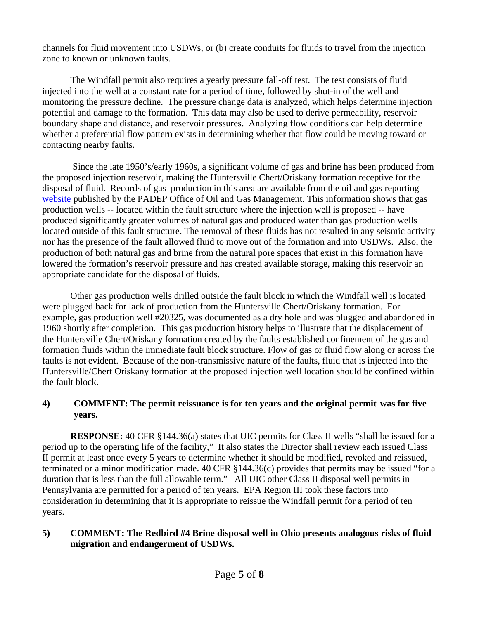channels for fluid movement into USDWs, or (b) create conduits for fluids to travel from the injection zone to known or unknown faults.

The Windfall permit also requires a yearly pressure fall-off test. The test consists of fluid injected into the well at a constant rate for a period of time, followed by shut-in of the well and monitoring the pressure decline. The pressure change data is analyzed, which helps determine injection potential and damage to the formation. This data may also be used to derive permeability, reservoir boundary shape and distance, and reservoir pressures. Analyzing flow conditions can help determine whether a preferential flow pattern exists in determining whether that flow could be moving toward or contacting nearby faults.

 Since the late 1950's/early 1960s, a significant volume of gas and brine has been produced from the proposed injection reservoir, making the Huntersville Chert/Oriskany formation receptive for the disposal of fluid. Records of gas production in this area are available from the oil and gas reporting [website](https://www.dep.pa.gov/DataandTools/Reports/Oil%20and%20Gas%20Reports/Pages/default.aspx) published by the PADEP Office of Oil and Gas Management. This information shows that gas production wells -- located within the fault structure where the injection well is proposed -- have produced significantly greater volumes of natural gas and produced water than gas production wells located outside of this fault structure. The removal of these fluids has not resulted in any seismic activity nor has the presence of the fault allowed fluid to move out of the formation and into USDWs. Also, the production of both natural gas and brine from the natural pore spaces that exist in this formation have lowered the formation's reservoir pressure and has created available storage, making this reservoir an appropriate candidate for the disposal of fluids.

 Other gas production wells drilled outside the fault block in which the Windfall well is located were plugged back for lack of production from the Huntersville Chert/Oriskany formation. For example, gas production well #20325, was documented as a dry hole and was plugged and abandoned in 1960 shortly after completion. This gas production history helps to illustrate that the displacement of the Huntersville Chert/Oriskany formation created by the faults established confinement of the gas and formation fluids within the immediate fault block structure. Flow of gas or fluid flow along or across the faults is not evident. Because of the non-transmissive nature of the faults, fluid that is injected into the Huntersville/Chert Oriskany formation at the proposed injection well location should be confined within the fault block.

# **4) COMMENT: The permit reissuance is for ten years and the original permit was for five years.**

**RESPONSE:** 40 CFR §144.36(a) states that UIC permits for Class II wells "shall be issued for a period up to the operating life of the facility," It also states the Director shall review each issued Class II permit at least once every 5 years to determine whether it should be modified, revoked and reissued, terminated or a minor modification made. 40 CFR §144.36(c) provides that permits may be issued "for a duration that is less than the full allowable term." All UIC other Class II disposal well permits in Pennsylvania are permitted for a period of ten years. EPA Region III took these factors into consideration in determining that it is appropriate to reissue the Windfall permit for a period of ten years.

# **5) COMMENT: The Redbird #4 Brine disposal well in Ohio presents analogous risks of fluid migration and endangerment of USDWs.**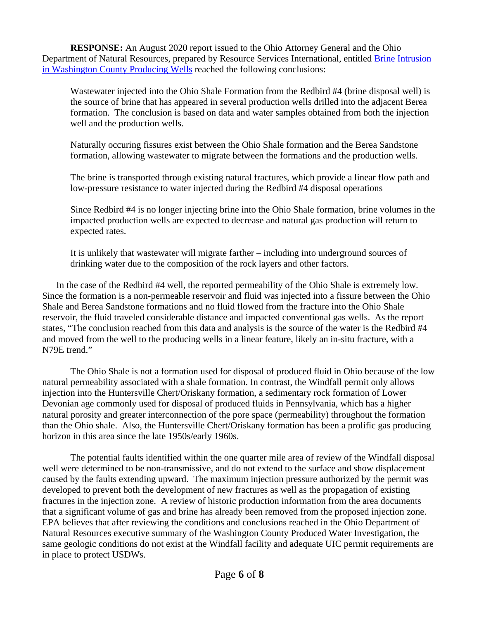**RESPONSE:** An August 2020 report issued to the Ohio Attorney General and the Ohio Department of Natural Resources, prepared by Resource Services International, entitled [Brine Intrusion](https://ohiodnr.gov/wps/wcm/connect/gov/fc8bbb48-f127-43e3-a062-00f7c8440a0b/FINAL+Washington+County+Produced+Water+Investigation.pdf?MOD=AJPERES&CONVERT_TO=url&CACHEID=ROOTWORKSPACE.Z18_M1HGGIK0N0JO00QO9DDDDM3000-fc8bbb48-f127-43e3-a062-00f7c8440a0b-nhqbKw7)  [in Washington County Producing Wells](https://ohiodnr.gov/wps/wcm/connect/gov/fc8bbb48-f127-43e3-a062-00f7c8440a0b/FINAL+Washington+County+Produced+Water+Investigation.pdf?MOD=AJPERES&CONVERT_TO=url&CACHEID=ROOTWORKSPACE.Z18_M1HGGIK0N0JO00QO9DDDDM3000-fc8bbb48-f127-43e3-a062-00f7c8440a0b-nhqbKw7) reached the following conclusions:

Wastewater injected into the Ohio Shale Formation from the Redbird #4 (brine disposal well) is the source of brine that has appeared in several production wells drilled into the adjacent Berea formation. The conclusion is based on data and water samples obtained from both the injection well and the production wells.

Naturally occuring fissures exist between the Ohio Shale formation and the Berea Sandstone formation, allowing wastewater to migrate between the formations and the production wells.

The brine is transported through existing natural fractures, which provide a linear flow path and low-pressure resistance to water injected during the Redbird #4 disposal operations

Since Redbird #4 is no longer injecting brine into the Ohio Shale formation, brine volumes in the impacted production wells are expected to decrease and natural gas production will return to expected rates.

It is unlikely that wastewater will migrate farther – including into underground sources of drinking water due to the composition of the rock layers and other factors.

 In the case of the Redbird #4 well, the reported permeability of the Ohio Shale is extremely low. Since the formation is a non-permeable reservoir and fluid was injected into a fissure between the Ohio Shale and Berea Sandstone formations and no fluid flowed from the fracture into the Ohio Shale reservoir, the fluid traveled considerable distance and impacted conventional gas wells. As the report states, "The conclusion reached from this data and analysis is the source of the water is the Redbird #4 and moved from the well to the producing wells in a linear feature, likely an in-situ fracture, with a N79E trend."

The Ohio Shale is not a formation used for disposal of produced fluid in Ohio because of the low natural permeability associated with a shale formation. In contrast, the Windfall permit only allows injection into the Huntersville Chert/Oriskany formation, a sedimentary rock formation of Lower Devonian age commonly used for disposal of produced fluids in Pennsylvania, which has a higher natural porosity and greater interconnection of the pore space (permeability) throughout the formation than the Ohio shale. Also, the Huntersville Chert/Oriskany formation has been a prolific gas producing horizon in this area since the late 1950s/early 1960s.

The potential faults identified within the one quarter mile area of review of the Windfall disposal well were determined to be non-transmissive, and do not extend to the surface and show displacement caused by the faults extending upward. The maximum injection pressure authorized by the permit was developed to prevent both the development of new fractures as well as the propagation of existing fractures in the injection zone. A review of historic production information from the area documents that a significant volume of gas and brine has already been removed from the proposed injection zone. EPA believes that after reviewing the conditions and conclusions reached in the Ohio Department of Natural Resources executive summary of the Washington County Produced Water Investigation, the same geologic conditions do not exist at the Windfall facility and adequate UIC permit requirements are in place to protect USDWs.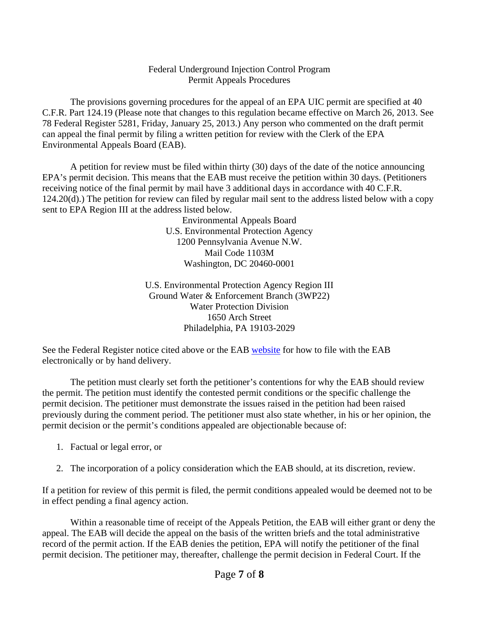#### Federal Underground Injection Control Program Permit Appeals Procedures

 The provisions governing procedures for the appeal of an EPA UIC permit are specified at 40 C.F.R. Part 124.19 (Please note that changes to this regulation became effective on March 26, 2013. See 78 Federal Register 5281, Friday, January 25, 2013.) Any person who commented on the draft permit can appeal the final permit by filing a written petition for review with the Clerk of the EPA Environmental Appeals Board (EAB).

A petition for review must be filed within thirty (30) days of the date of the notice announcing EPA's permit decision. This means that the EAB must receive the petition within 30 days. (Petitioners receiving notice of the final permit by mail have 3 additional days in accordance with 40 C.F.R. 124.20(d).) The petition for review can filed by regular mail sent to the address listed below with a copy sent to EPA Region III at the address listed below.

> Environmental Appeals Board U.S. Environmental Protection Agency 1200 Pennsylvania Avenue N.W. Mail Code 1103M Washington, DC 20460-0001

U.S. Environmental Protection Agency Region III Ground Water & Enforcement Branch (3WP22) Water Protection Division 1650 Arch Street Philadelphia, PA 19103-2029

See the Federal Register notice cited above or the EAB [website](http://yosemite.epa.gov/oa/EAB_Web_Docket.nsf) for how to file with the EAB electronically or by hand delivery.

The petition must clearly set forth the petitioner's contentions for why the EAB should review the permit. The petition must identify the contested permit conditions or the specific challenge the permit decision. The petitioner must demonstrate the issues raised in the petition had been raised previously during the comment period. The petitioner must also state whether, in his or her opinion, the permit decision or the permit's conditions appealed are objectionable because of:

- 1. Factual or legal error, or
- 2. The incorporation of a policy consideration which the EAB should, at its discretion, review.

If a petition for review of this permit is filed, the permit conditions appealed would be deemed not to be in effect pending a final agency action.

Within a reasonable time of receipt of the Appeals Petition, the EAB will either grant or deny the appeal. The EAB will decide the appeal on the basis of the written briefs and the total administrative record of the permit action. If the EAB denies the petition, EPA will notify the petitioner of the final permit decision. The petitioner may, thereafter, challenge the permit decision in Federal Court. If the